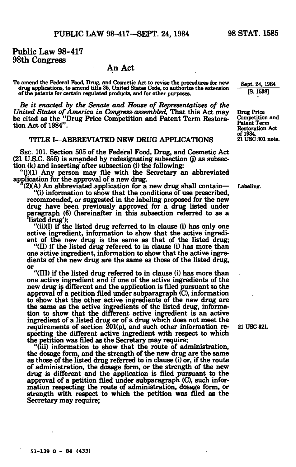## **Public Law 98-417 98th Congress**

## **An Act**

**To amend the Federal Food, Drug, and Cosmetic Act to revise the procedures for new drug applications, to amend title 35, United States Code, to authorize the extension of the patents for certain regulated products, and for other purposes.** 

*Be it enacted by the Senate and House of Representatives of the United States of America in Congress assembled,* **That this Act may be cited as the "Drug Price Competition and Patent Term Restoration Act of 1984".** 

### **TITLE I—ABBREVIATED NEW DRUG APPLICATIONS**

**SEC. 101. Section 505 of the Federal Food, Drug, and Cosmetic Act (21 U.S.C. 355) is amended by redesignating subsection (j) as subsection (k) and inserting'after subsection (i) the following:** 

**"(jXD Any person may file with the Secretary an abbreviated application for the approval of a new drug.** 

**"(2)(A) An abbreviated application for a new drug shall contain— "(i) information to show that the conditions of use prescribed, recommended, or suggested in the labeling proposed for the new drug have been previously approved for a drug listed under paragraph (6) (hereinafter in this subsection referred to as a listed drug');** 

**"(iiXD if the listed drug referred to in clause (i) has only one active ingredient, information to show that the active ingredient of the new drug is the same as that of the listed drug;** 

**"(II) if the listed drug referred to in clause (i) has more than one active ingredient, information to show that the active ingredients of the new drug are the same as those of the listed drug, or** 

**"(III) if the listed drug referred to in clause (i) has more than one active ingredient and if one of the active ingredients of the new drug is different and the application is filed pursuant to the approval of a petition filed under subparagraph (C), information to show that the other active ingredients of the new drug are the same as the active ingredients of the listed drug, information to show that the different active ingredient is an active ingredient of a listed drug or of a drug which does not meet the requirements of section 201(p), and such other information respecting the different active ingredient with respect to which the petition was filed as the Secretary may require;** 

**"(iii) information to show that the route of administration, the dosage form, and the strength of the new drug are the same as those of the listed drug referred to in clause (i) or, if the route of administration, the dosage form, or the strength of the new drug is different and the application is filed pursuant to the approval of a petition filed under subparagraph (C), such information respecting the route of administration, dosage form, or strength with respect to which the petition was filed as the Secretary may require;** 

**Sept. 24, 1984 [S. 1538]** 

**Drug Price Competition and Patent Term Restoration Act of 1984. 21 USC 301 note.** 

**Labeling.** 

**21 USC 321.**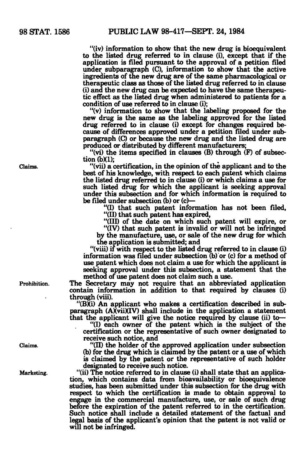**98 STAT. 1586 PUBLIC LAW 98-417—SEPT. 24,1984** 

**"(iv) information to show that the new drug is bioequivalent to the listed drug referred to in clause (i), except that if the application is filed pursuant to the approval of a petition filed under subparagraph (C), information to show that the active ingredients of the new drug are of the same pharmacological or therapeutic class as those of the listed drug referred to in clause (i) and the new drug can be expected to have the same therapeutic effect as the listed drug when administered to patients for a condition of use referred to in clause (i);** 

**"(v) information to show that the labeling proposed for the new drug is the same as the labeling approved for the listed drug referred to in clause (i) except for changes required because of differences approved under a petition filed under subparagraph (C) or because the new drug and the listed drug are produced or distributed by different manufacturers;** 

**"(vi) the items specified in clauses (B) through (F) of subsection (bXD;** 

**Claims. "(vii) a certification, in the opinion of the applicant and to the best of his knowledge, with respect to each patent which claims the listed drug referred to in clause (i) or which claims a use for such listed drug for which the applicant is seeking approval under this subsection and for which information is required to be filed under subsection (b) or (c)—** 

**"(I) that such patent information has not been filed, "(II) that such patent has expired,** 

**"(III) of the date on which such patent will expire, or** 

**"(IV) that such patent is invalid or will not be infringed by the manufacture, use, or sale of the new drug for which the application is submitted; and** 

**"(viii) if with respect to the listed drug referred to in clause (i) information was filed under subsection (b) or (c) for a method of use patent which does not claim a use for which the applicant is seeking approval under this subsection, a statement that the method of use patent does not claim such a use.** 

**Prohibition. The Secretary may not require that an abbreviated application contain information in addition to that required by clauses (i) through (viii).** 

**"(BXi) An applicant who makes a certification described in sub**paragraph (A)(vii)(IV) shall include in the application a statement **that the applicant will give the notice required by clause (ii) to—** 

**"(I) each owner of the patent which is the subject of the certification or the representative of such owner designated to receive such notice, and** 

**Claims. "(II) the holder of the approved application under subsection (b) for the drug which is claimed by the patent or a use of which is claimed by the patent or the representative of such holder designated to receive such notice.** 

**Marketing. "(ii) The notice referred to in clause (i) shall state that an application, which contains data from bioavailability or bioequivalence studies, has been submitted under this subsection for the drug with respect to which the certification is made to obtain approval to engage in the commercial manufacture, use, or sale of such drug before the expiration of the patent referred to in the certification. Such notice shall include a detailed statement of the factual and legal basis of the applicant's opinion that the patent is not valid or will not be infringed.**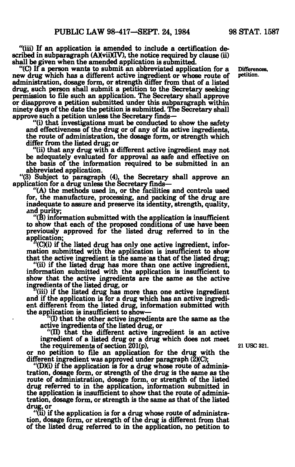**"(iii) If an application is amended to include a certification de**scribed in subparagraph (A)(vii)(IV), the notice required by clause (ii) **shall be given when the amended application is submitted.** 

**"(C) If a person wants to submit an abbreviated application for a Differences,**  new drug which has a different active ingredient or whose route of **administration, dosage form, or strength differ from that of a listed drug, such person shall submit a petition to the Secretary seeking permission to file such an application. The Secretary shall approve or disapprove a petition submitted under this subparagraph within ninety days of the date the petition is submitted. The Secretary shall approve such a petition unless the Secretary finds—** 

**"(i) that investigations must be conducted to show the safety and effectiveness of the drug or of any of its active ingredients, the route of administration, the dosage form, or strength which differ from the listed drug; or** 

**"(ii) that any drug with a different active ingredient may not be adequately evaluated for approval as safe and effective on the basis of the information required to be submitted in an abbreviated application.** 

**"(3) Subject to paragraph (4), the Secretary shall approve an application for a drug unless the Secretary finds—** 

**"(A) the methods used in, or the facilities and controls used for, the manufacture, processing, and packing of the drug are inadequate to assure and preserve its identity, strength, quality, and purity;** 

**"(B) information submitted with the application is insufficient to show that each of the proposed conditions of use have been previously approved for the listed drug referred to in the application;** 

**(CXi) if the listed drug has only one active ingredient, information submitted with the application is insufficient to show that the active ingredient is the same as that of the listed drug;** 

**"(ii) if the listed drug has more than one active ingredient, information submitted with the application is insufficient to show that the active ingredients are the same as the active ingredients of the listed drug, or** 

**(iii) if the listed drug has more than one active ingredient and if the application is for a drug which has an active ingredient different from the listed drug, information submitted with the application is insufficient to show—** 

**'(I) that the other active ingredients are the same as the active ingredients of the listed drug, or** 

**"(ID that the different active ingredient is an active ingredient of a listed drug or a drug which does not meet the requirements of section 201(p), 21 USC 321. 21 USC 321.** 

**or no petition to file an application for the drug with the**  different ingredient was approved under paragraph (2)(C);

"(D)(i) if the application is for a drug whose route of adminis**tration, dosage form, or strength of the drug is the same as the route of administration, dosage form, or strength of the listed drug referred to in the application, information submitted in the application is insufficient to show that the route of administration, dosage form, or strength is the same as that of the listed drug, or** 

**"(ii) if the application is for a drug whose route of administration, dosage form, or strength of the drug is different from that of the listed drug referred to in the application, no petition to**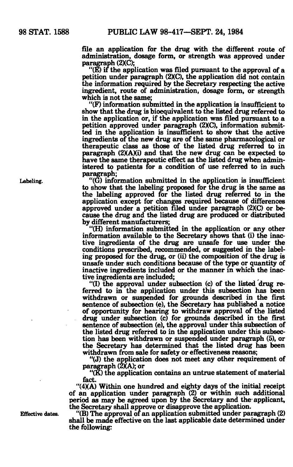**file an application for the drug with the different route of administration, dosage form, or strength was approved under paragraph (2XC);** 

**"(E) if the application was filed pursuant to the approval of a petition under paragraph (2XC), the application did not contain the information required by the Secretary respecting the active ingredient, route of administration, dosage form, or strength which is not the same;** 

**"(F) information submitted in the application is insufficient to show that the drug is bioequivalent to the listed drug referred to in the application or, if the application was filed pursuant to a petition approved under paragraph (2XC), information submitted in the application is insufficient to show that the active ingredients of the new drug are of the same pharmacological or therapeutic class as those of the listed drug referred to in**  paragraph (2)(A)(i) and that the new drug can be expected to **have the same therapeutic effect as the listed drug when administered to patients for a condition of use referred to in such paragraph;** 

Labeling. **The interpretation submitted in the application is insufficient to show that the labeling proposed for the drug is the same as the labeling approved for the listed drug referred to in the application except for changes required because of differences approved under a petition filed under paragraph (2XC) or because the drug and the listed drug are produced or distributed by different manufacturers;** 

**"(H) information submitted in the application or any other information available to the Secretary shows that (i) the inactive ingredients of the drug are unsafe for use under the conditions prescribed, recommended, or suggested in the labeling proposed for the drug, or (ii) the composition of the drug is unsafe under such conditions because of the type or quantity of inactive ingredients included or the manner in which the inactive ingredients are included;** 

**"(I) the approval under subsection (c) of the listed drug referred to in the application under this subsection has been withdrawn or suspended for grounds described in the first sentence of subsection (e), the Secretary has published a notice of opportunity for hearing to withdraw approval of the listed drug under subsection (c) for grounds described in the first sentence of subsection (e), the approval under this subsection of the listed drug referred to in the application under this subsection has been withdrawn or suspended under paragraph (5), or the Secretary has determined that the listed drug has been withdrawn from sale for safety or effectiveness reasons;** 

**"(J) the application does not meet any other requirement of paragraph (2XA); or** 

**"(K) the application contains an untrue statement of material fact.** 

**"(4XA) Within one hundred and eighty days of the initial receipt of an application under paragraph (2) or within such additional period as may be agreed upon by the Secretary and the- applicant, the Secretary shall approve or disapprove the application.** 

**Effective dates. "(B) The approval of an application submitted under paragraph (2) shall be made effective on the last applicable date determined under the following:**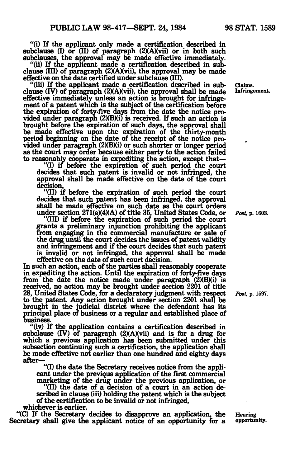**"(i) If the applicant only made a certification described in**  subclause (I) or (II) of paragraph (2)(A)(vii) or in both such **subclauses, the approval may be made effective immediately,** 

**"(ii) If the applicant made a certification described in subclause (III) of paragraph (2XA)(vii), the approval may be made effective on the date certified under subclause (III).** 

**"(iii) If the applicant made a certification described in sub**clause (IV) of paragraph (2)(A)(vii), the approval shall be made **effective immediately unless an action is brought for infringement of a patent which is the subject of the certification before the expiration of forty-five days from the date the notice pro**vided under paragraph (2)(B)(i) is received. If such an action is **brought before the expiration of such days, the approval shall be made effective upon the expiration of the thirty-month period beginning on the date of the receipt of the notice pro**vided under paragraph (2)(B)(i) or such shorter or longer period **as the court may order because either party to the action failed to reasonably cooperate in expediting the action, except that—** 

**"(I) if before the expiration of such period the court decides that such patent is invalid or not infringed, the approval shall be made effective on the date of the court decision,** 

**"(II) if before the expiration of such period the court decides that such patent has been infringed, the approval shall be made effective on such date as the court orders**  under section 271(e)(4)(A) of title 35, United States Code, or

**"(III) if before the expiration of such period the court grants a preliminary injunction prohibiting the applicant from engaging in the commercial manufacture or sale of the drug until the court decides the issues of patent validity and infringement and if the court decides that such patent is invalid or not infringed, the approval shall be made effective on the date of such court decision.** 

**In such an action, each of the parties shall reasonably cooperate in expediting the action. Until the expiration of forty-five days**  from the date the notice made under paragraph (2)(B)(i) is **received, no action may be brought under section 2201 of title 28, United States Code, for a declaratory judgment with respect to the patent. Any action brought under section 2201 shall be brought in the judicial district where the defendant has its grincipal place of business or a regular and established place of usiness.** 

**"(iv) If the application contains a certification described in**  subclause (IV) of paragraph (2)(A)(vii) and is for a drug for **which a previous application has been submitted under this subsection continuing such a certification, the application shall be made effective not earlier than one hundred and eighty days after—** 

**"(I) the date the Secretary receives notice from the applicant under the previous application of the first commercial marketing of the drug under the previous application, or** 

**"(II) the date of a decision of a court in an action described in clause (iii) holding the patent which is the subject of the certification to be invalid or not infringed,** 

**whichever is earlier.** 

**"(C) If the Secretary decides to disapprove an application, the Secretary shall give the applicant notice of an opportunity for a**  **Claims. Infringement.** 

 $\bullet$ 

*Post,* **p. 1603.** 

*Post,* **p. 1597.** 

**Hearing opportunity.**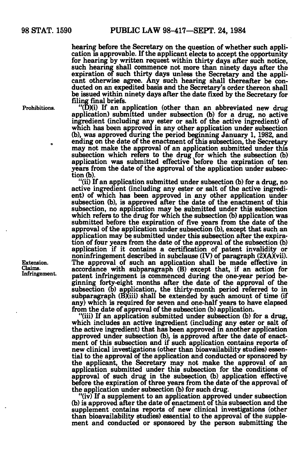**hearing before the Secretary on the question of whether such application is approvable. If the applicant elects to accept the opportunity for hearing by written request within thirty days after such notice, such hearing shall commence not more than ninety days after the expiration of such thirty days unless the Secretary and the applicant otherwise agree. Any such hearing shall thereafter be conducted on an expedited basis and the Secretary's order thereon shall be issued within ninety days after the date fixed by the Secretary for filing final briefs.** 

Prohibitions. "(D)(i) If an application (other than an abbreviated new drug **application) submitted under subsection (b) for a drug, no active ingredient (including any ester or salt of the active ingredient) of which has been approved in any other application under subsection (b), was approved during the period beginning January 1, 1982, and ending on the date of the enactment of this subsection, the Secretary may not make the approval of an application submitted under this subsection which refers to the drug.for which the subsection (b) application was submitted effective before the expiration of ten years from the date of the approval of the application under subsection (b).** 

**"(ii) If an application submitted under subsection (b) for a drug, no active ingredient (including any ester or salt of the active ingredient) of which has been approved in any other application under subsection (b), is approved after the date of the enactment of this subsection, no application may be submitted under this subsection which refers to the drug for which the subsection (b) application was submitted before the expiration of five years from the date of the approval of the application under subsection (b), except that such an application may be submitted under this subsection after the expiration of four years from the date of the approval of the subsection (b) application if it contains a certification of patent invalidity or**  noninfringement described in subclause (IV) of paragraph (2)(A)(vii). Extension. The approval of such an application shall be made effective in Claims. **Claims. accordance with subparagraph (B) except that, if an action for**  patent infringement is commenced during the one-year period be**ginning forty-eight months after the date of the approval of the subsection (b) application, the thirty-month period referred to in subparagraph (B)(iii) shall be extended by such amount of time (if any) which is required for seven and one-half years to have elapsed from the date of approval of the subsection (b) application.** 

> **"(iii) If an application submitted under subsection (b) for a drug, which includes an active ingredient (including any ester or salt of the active ingredient) that has been approved in another application approved under subsection (b), is approved after the date of enactment of this subsection and if such application contains reports of new clinical investigations (other than bioavailability studies) essential to the approval of the application and conducted or sponsored by the applicant, the Secretary may not make the approval of an application submitted under this subsection for the conditions of approval of such drug in the subsection (b) application effective before the expiration of three years from the date of the approval of the application under subsection (b) for such drug.**

> **"(iv) If a supplement to an application approved under subsection (b) is approved after the date of enactment of this subsection and the supplement contains reports of new clinical investigations (other than bioavailability studies) essential to the approval of the supplement and conducted or sponsored by the person submitting the**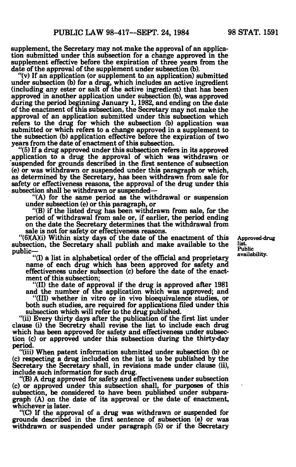**supplement, the Secretary may not make the approval of an application submitted under this subsection for a change approved in the supplement effective before the expiration of three years from the date of the approval of the supplement under subsection (b).** 

**"(v) If an application (or supplement to an application) submitted under subsection (b) for a drug, which includes an active ingredient (including any ester or salt of the active ingredient) that has been approved in another application under subsection (b), was approved**  during the period beginning January 1, 1982, and ending on the date **of the enactment of this subsection, the Secretary may not make the approval of an application submitted under this subsection which refers to the drug for which the subsection (b) application was submitted or which refers to a change approved in a supplement to the subsection (b) application effective before the expiration of two years from the date of enactment of this subsection.** 

**"(5) If a drug approved under this subsection refers in its approved application to a drug the approval of which was withdrawn or suspended for grounds described in the first sentence of subsection (e) or was withdrawn or suspended under this paragraph or which,**  as determined by the Secretary, has been withdrawn from sale for **safety or effectiveness reasons, the approval of the drug under this subsection shall be withdrawn or suspended—** 

**"(A) for the same period as the withdrawal or suspension under subsection (e) or this paragraph, or** 

**"(B) if the listed drug has been withdrawn from sale, for the period of withdrawal from sale or, if earlier, the period ending on the date the Secretary determines that the withdrawal from sale is not for safety or effectiveness reasons.** 

**"(6)(AXi) Within sixty days of the date of the enactment of this subsection, the Secretary shall publish and make available to the public—** 

**"(I) a list in alphabetical order of the official and proprietary name of each drug which has been approved for safety and effectiveness under subsection (c) before the date of the enactment of this subsection;** 

**"(II) the date of approval if the drug is approved after 1981 and the number of the application which was approved; and** 

**"(III) whether in vitro or in vivo bioequivalence studies, or both such studies, are required for applications filed under this subsection which will refer to the drug published,** 

**"(ii) Every thirty days after the publication of the first list under clause (i) the Secretry shall revise the list to include each drug which has been approved for safety and effectiveness under subsection (c) or approved under this subsection during the thirty-day period.** 

**"(iii) When patent information submitted under subsection (b) or (c) respecting a drug included on the list is to be published by the Secretary the Secretary shall, in revisions made under clause (ii), include such information for such drug.** 

**"(B) A drug approved for safety and effectiveness under subsection (c) or approved under this subsection shall, for purposes of this subsection, be considered to have been published under subparagraph (A) on the date of its approval or the date of enactment, whichever is later.** 

**"(C) If the approval of a drug was withdrawn or suspended for grounds described in the first sentence of subsection (e) or was withdrawn or suspended under paragraph (5) or if the Secretary** 

**Approved-drug list. Public availability.**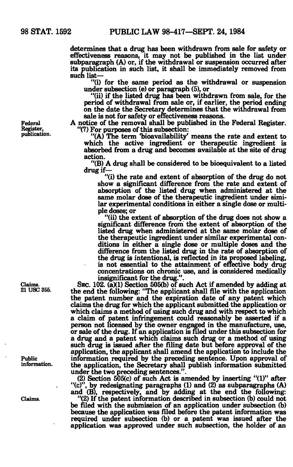**determines that a drug has been withdrawn from sale for safety or effectiveness reasons, it may not be published in the list under subparagraph (A) or, if the withdrawal or suspension occurred after its publication in such list, it shall be immediately removed from such list—** 

**"(i) for the same period as the withdrawal or suspension under subsection (e) or paragraph (5), or** 

**"(ii) if the listed drug has been withdrawn from sale, for the period of withdrawal from sale or, if earlier, the period ending on the date the Secretary determines that the withdrawal from sale is not for safety or effectiveness reasons.** 

**A notice of the removal shall be published in the Federal Register. "(7) For purposes of this subsection:** 

**"(A) The term 'bioavailability' means the rate and extent to which the active ingredient or therapeutic ingredient is absorbed from a drug and becomes available at the site of drug action.** 

**"(B) A drug shall be considered to be bioequivalent to a listed drug if—** 

**"(i) the rate and extent of absorption of the drug do not show a significant difference from the rate and extent of absorption of the listed drug when administered at the same molar dose of the therapeutic ingredient under similar experimental conditions in either a single dose or multiple doses; or** 

**"(ii) the extent of absorption of the drug does not show a significant difference from the extent of absorption of the listed drug when administered at the same molar dose of the therapeutic ingredient under similar experimental conditions in either a single dose or multiple doses and the difference from the listed drug in the rate of absorption of the drug is intentional, is reflected in its proposed labeling, is not essential to the attainment of effective body drug concentrations on chronic use, and is considered medically insignificant for the drug.".** 

SEC. 102. (a)(1) Section 505(b) of such Act if amended by adding at **the end the following: "The applicant shall file with the application the patent number and the expiration date of any patent which claims the drug for which the applicant submitted the application or which claims a method of using such drug and with respect to which a claim of patent infringement could reasonably be asserted if a person not licensed by the owner engaged in the manufacture, use, or sale of the drug. If an application is filed under this subsection for a drug and a patent which claims such drug or a method of using such drug is issued after the filing date but before approval of the application, the applicant shall amend the application to include the information required by the preceding sentence. Upon approval of the application, the Secretary shall publish information submitted under the two preceding sentences.".** 

**(2) Section 505(c) of such Act is amended by inserting "(1)" after "(c)", by redesignating paragraphs (1) and (2) as subparagraphs (A) and (B), respectively, and by adding at the end the following:** 

**"(2) If the patent information described in subsection (b) could not be filed with the submission of an application under subsection (b) because the application was filed before the patent information was required under subsection (b) or a patent was issued after the application was approved under such subsection, the holder of an** 

**Federal Register, publication.** 

**Claims. 21 USC 355.** 

**Public information.** 

**Claims.**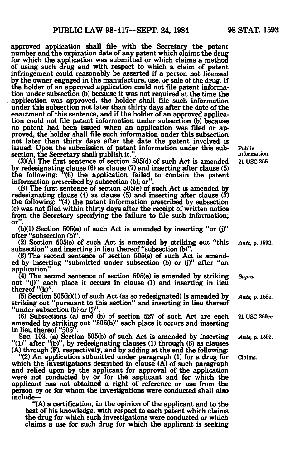**approved application shall file with the Secretary the patent number and the expiration date of any patent which claims the drug for which the application was submitted or which claims a method of using such drug and with respect to which a claim of patent infringement could reasonably be asserted if a person not licensed by the owner engaged in the manufacture, use, or sale of the drug. If the holder of an approved application could not file patent information under subsection (b) because it was not required at the time the application was approved, the holder shall file such information under this subsection not later than thirty days after the date of the enactment of this sentence, and if the holder of an approved application could not file patent information under subsection (b) because no patent had been issued when an application was filed or approved, the holder shall file such information under this subsection not later than thirty days after the date the patent involved is issued. Upon the submission of patent information under this subsection, the Secretary shall publish it.".** 

**(3)(A) The first sentence of section 505(d) of such Act is amended by redesignating clause (6) as clause (7) and inserting after clause (5) the following: (6) the application failed to contain the patent information prescribed by subsection (b); or".** 

**(B) The first sentence of section 505(e) of such Act is amended by redesignating clause (4) as clause (5) and inserting after clause (3)**  the following: "(4) the patent information prescribed by subsection **(c) was not filed within thirty days after the receipt of written notice from the Secretary specifying the failure to file such information; or".** 

**(b)(1) Section 505(a) of such Act is amended by inserting "or (j)" after "subsection (b)".** 

**(2) Section 505(c) of such Act is amended by striking out "this subsection" and inserting in lieu thereof "subsection (b)".** 

**(3) The second sentence of section 505(e) of such Act is amended by inserting "submitted under subsection (b) or (j)" after "an application".** 

**(4) The second sentence of section 505(e) is amended by striking out "(j)" each place it occurs in clause (1) and inserting in lieu thereof "(k)".** 

 $(5)$  Section  $505(k)(1)$  of such Act (as so redesignated) is amended by **striking out "pursuant to this section" and inserting in lieu thereof "under subsection (b) or (j)".** 

**(6) Subsections (a) and (b) of section 527 of such Act are each amended by striking out "505(b)" each place it occurs and inserting**  in lieu thereof "505"

**SEC. 103. (a) Section 505(b) of such Act is amended by inserting "(1)" after "(b)", by redesignating clauses (1) through (6) as clauses (A) through (F), respectively, and by adding at the end the following:** 

**"(2) An application submitted under paragraph (1) for a drug for which the investigations described in clause (A) of such paragraph and relied upon by the applicant for approval of the application were not conducted by or for the applicant and for which the applicant has not obtained a right of reference or use from the person by or for whom the investigations were conducted shall also include—** 

**"(A) a certification, in the opinion of the applicant and to the best of his knowledge, with respect to each patent which claims the drug for which such investigations were conducted or which claims a use for such drug for which the applicant is seeking**  **Public information. 21 USC 355.** 

*Supra.* 

*Ante,* **p. 1585.** 

**21 USC 360cc.** 

*Ante,* **p. 1592.** 

**Claims.**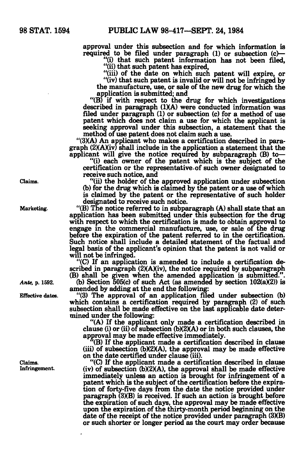approval under this subsection and for which information is required to be filed under paragraph (1) or subsection (c)—

"(i) that such patent information has not been filed, "(ii) that such patent has expired,

"(iii) of the date on which such patent will expire, or

"(iv) that such patent is invalid or will not be infringed by the manufacture, use, or sale of the new drug for which the application is submitted; and

"(B) if with respect to the drug for which investigations described in paragraph (1XA) were conducted information was filed under paragraph (1) or subsection (c) for a method of use patent which does not claim a use for which the applicant is seeking approval under this subsection, a statement that the method of use patent does not claim such a use.

 $\cdot$  (3)(A) An applicant who makes a certification described in paragraph  $(2)$ (A) $(iv)$  shall include in the application a statement that the applicant will give the notice required by subparagraph (B) to—

"(i) each owner of the patent which is the subject of the certification or the representative-of such owner designated to receive such notice, and

"(ii) the holder of the approved application under subsection (b) for the drug which is claimed by the patent or a use of which is claimed by the patent or the representative of such holder designated to receive such notice.

"(B) The notice referred to in subparagraph (A) shall state that an application has been submitted under this subsection for the drug with respect to which the certification is made to obtain approval to engage in the commercial manufacture, use, or sale of the drug before the expiration of the patent referred to in the certification. Such notice shall include a detailed statement of the factual and legal basis of the applicant's opinion that the patent is not valid or will not be infringed.

"(C) If an application is amended to include a certification described in paragraph  $(2)(A)(iv)$ , the notice required by subparagraph (B) shall be given when the amended application is submitted.",

(b) Section  $505(c)$  of such Act (as amended by section  $102(a)(2)$ ) is amended by adding at the end the following:

"(3) The approval of an application filed under subsection (b) which contains a certification required by paragraph (2) of such subsection shall be made effective on the last applicable date determined under the following:

"(A) If the applicant only made a certification described in clause (i) or (ii) of subsection  $(b)(2)(A)$  or in both such clauses, the approval may be made effective immediately.

(B) If the applicant made a certification described in clause (iii) of subsection  $(b)(2)(A)$ , the approval may be made effective on the date certified under clause (iii).

"(C) If the applicant made a certification described in clause (iv) of subsection  $(b)(2)(A)$ , the approval shall be made effective immediately unless an action is brought for infringement of a patent which is the subject of the certification before the expiration of forty-five days from the date the notice provided under paragraph (3XB) is received. If such an action is brought before the expiration of such days, the approval may be made effective upon the expiration of the thirty-month period beginning on the date of the receipt of the notice provided under paragraph  $(3)(B)$ or such shorter or longer period as the court may order because

**Claims.** 

**Marketing.** 

*Ante,* **p. 1592. Effective dates.** 

**Claims. Infringement.**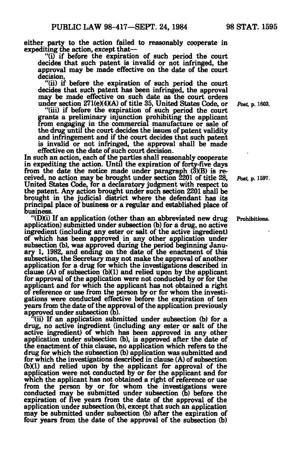**either party to the action failed to reasonably cooperate in expediting the action, except that—** 

**"(i) if before the expiration of such period the court decides that such patent is invalid or not infringed, the approval may be made effective on the date of the court decision,** 

**"(ii) if before the expiration of such period the court decides that such patent has been infringed, the approval may be made effective on such date as the court orders**  under section 271(e)(4)(A) of title 35, United States Code, or *Post*, p. 1603.

**"(iii) if before the expiration of such period the court grants a preliminary injunction prohibiting the applicant from engaging in the commercial manufacture or sale of the drug until the court decides the issues of patent validity and infringement and if the court decides that such patent is invalid or not infringed, the approval shall be made effective on the date of such court decision.** 

**In such an action, each of the parties shall reasonably cooperate in expediting the action. Until the expiration of forty-five days**  from the date the notice made under paragraph (3)(B) is re**ceived, no action may be brought under section 2201 of title 28,** *Post,* **p. 1597. United States Code, for a declaratory judgment with respect to the patent. Any action brought under such section 2201 shall be brought in the judicial district where the defendant has its principal place of business or a regular and established place of business.** 

**"(DXi) If an application (other than an abbreviated new drug Prohibitions, application) submitted under subsection (b) for a drug, no active ingredient (including any ester or salt of the active ingredient) of which has been approved in any other application under subsection (b), was approved during the period beginning January 1, 1982, and ending on the date of the enactment of this subsection, the Secretary may not make the approval of another application for a drug for which the investigations described in**  clause (A) of subsection (b)(1) and relied upon by the applicant **for approval of the application were not conducted by or for the applicant and for which the applicant has not obtained a right of reference or use from the person by or for whom the investigations were conducted effective before the expiration of ten years from the date of the approval of the application previously approved under subsection (b).** 

**(ii) If an application submitted under subsection (b) for a drug, no active ingredient (including any ester or salt of the active ingredient) of which has been approved in any other application under subsection (b), is approved after the date of the enactment of this clause, no application which refers to the drug for which the subsection (b) application was submitted and for which the investigations described in clause (A) of subsection (bXD and relied upon by the applicant for approval of the application were not conducted by or for the applicant and for which the applicant has not obtained a right of reference or use from the person by or for whom the investigations were conducted may be submitted under subsection (b) before the expiration of five years from the date of the approval of the application under subsection (b), except that such an application may be submitted under subsection (b) after the expiration of four years from the date of the approval of the subsection (b)**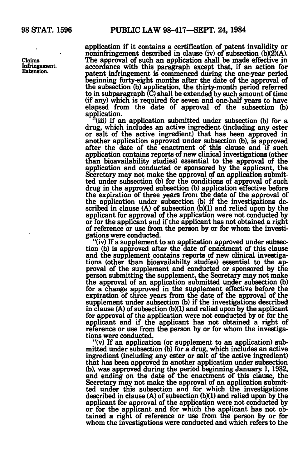**Claims. Infringement. Extension.** 

**application if it contains a certification of patent invalidity or noninfringement described in clause (iv) of subsection (b)(2)(A). The approval of such an application shall be made effective in accordance with, this paragraph except that, if an action for E eginning forty-eight months after the date of the approval of atent infringement is commenced during the one-year period the subsection (b) application, the thirty-month period referred to in subparagraph (C) shall be extended by such amount of time (if any) which is required for seven and one-half years to have elapsed from the date of approval of the subsection (b) application.** 

**(iii) If an application submitted under subsection (b) for a drug, which includes an active ingredient (including any ester or salt of the active ingredient) that has been approved in another application approved under subsection (b), is approved after the date of the enactment of this clause and if such application contains reports of new clinical investigations (other than bioavailability studies) essential to the approval of the application and conducted or sponsored by the applicant, the Secretary may not make the approval of an application submitted under subsection (b) for the conditions of approval of such drug in the approved subsection (b) application effective before the expiration of three years from the date of the approval of the application under subsection (b) if the investigations described in clause (A) of subsection (b)(1) and relied upon by the applicant for approval of the application were not conducted by or for the applicant and if the applicant has not obtained a right of reference or use from the person by or for whom the investigations were conducted.** 

**"(iv) If a supplement to an application approved under subsection (b) is approved after the date of enactment of this clause and the supplement contains reports of new clinical investigations (other than bioavailabilty studies) essential to the approval of the supplement and conducted or sponsored by the person submitting the supplement, the Secretary may not make the approval of an application submitted under subsection (b) for a change approved in the supplement effective before the expiration of three years from the date of the approval of the supplement under subsection (b) if the investigations described in clause (A) of subsection (b)(1) and relied upon by the applicant for approval of the application were not conducted by or for the applicant and if the applicant has not obtained a right of reference or use from the person by or for whom the investigations were conducted.** 

**"(v) If an application (or supplement to an application) submitted under subsection (b) for a drug, which includes an active ingredient (including any ester or salt of the active ingredient) that has been approved in another application under subsection (b), was approved during the period beginning January 1,1982,**  and ending on the date of the enactment of this clause, the **Secretary may not make the approval of an application submitted under this subsection and for which the investigations**  described in clause (A) of subsection (b)(1) and relied upon by the **applicant for approval of the application were not conducted by or for the applicant and for which the applicant has not obtained a right of reference or use from the person by or for whom the investigations were conducted and which refers to the**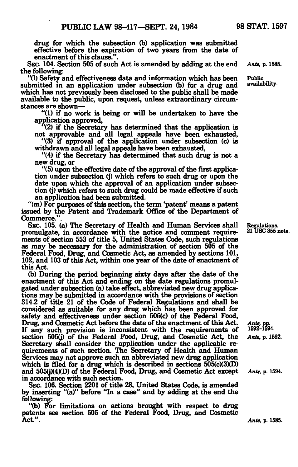**drug for which the subsection (b) application was submitted effective before the expiration of two years from the date of enactment of this clause.".** 

**SEC. 104. Section 505 of such Act is amended by adding at the end** *Ante,* **p. 1585. the following:** 

**"(1) Safety and effectiveness data and information which has been Public**  submitted in an application under subsection (b) for a drug and **which has not previously been disclosed to the public shall be made available to the public, upon request, unless extraordinary circumstances are shown—** 

**"(1) if no work is being or will be undertaken to have the application approved,** 

**"(2) if the Secretary has determined that the application is not approvable and all legal appeals have been exhausted,** 

**"(3) if approval of the application under subsection (c) is withdrawn and all legal appeals have been exhausted,** 

**"(4) if the Secretary has determined that such drug is not a new drug, or** 

**"(5) upon the effective date of the approval of the first application under subsection (j) which refers to such drug or upon the date upon which the approval of an application under subsection (j) which refers to such drug could be made effective if such an application had been submitted,** 

**"(m) For purposes of this section, the term 'patent' means a patent issued by the Patent and Trademark Office of the Department of Commerce.".** 

**SEC. 105. (a) The Secretary of Health and Human Services shall promulgate, in accordance with the notice and comment requirements of section 553 of title 5, United States Code, such regulations as may be necessary for the administration of section 505 of the Federal Food, Drug, and Cosmetic Act, as amended by sections 101, 102, and 103 of this Act, within one year of the date of enactment of this Act.** 

**(b) During the period beginning sixty days after the date of the enactment of this Act and ending on the date regulations promulgated under subsection (a) take effect, abbreviated new drug applications may be submitted in accordance with the provisions of section 314.2 of title 21 of the Code of Federal Regulations and shall be considered as suitable for any drug which has been approved for safety and effectiveness under section 505(c) of the Federal Food, Drug, and Cosmetic Act before the date of the enactment of this Act. If any such provision is inconsistent with the requirements of section 505(j) of the Federal Food, Drug, and Cosmetic Act, the Secretary shall consider the application under the applicable requirements of such section. The Secretary of Health and Human Services may not approve such an abbreviated new drug application**  which is filed for a drug which is described in sections  $505(c)(3)(D)$ **and 505(jX4XD) of the Federal Food, Drug, and Cosmetic Act except in accordance with such section.** 

**SEC. 106. Section 2201 of title 28, United States Code, is amended by inserting "(a)" before "In a case" and by adding at the end the following:** 

**"(b) For limitations on actions brought with respect to drug patents see section 505 of the Federal Food, Drug, and Cosmetic** 

**Regulations. 21USC 355 note.** 

*Ante,* **pp. 1592-1594.**  *Ante,* **p. 1592.** 

*Ante,* **p. 1594.** 

**Act.".** *Ante,* **p. 1585.**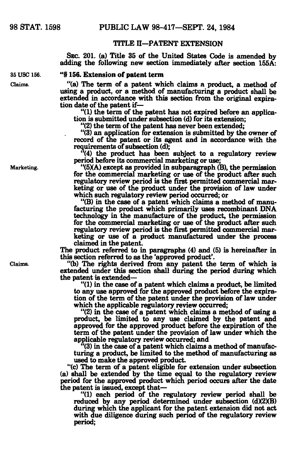# **TITLE II—PATENT EXTENSION**

**SEC. 201. (a) Title 35 of the United States Code is amended by adding the following new section immediately after section 155A:** 

#### **35 USC156. "§ 156. Extension of patent term**

**Claims. "(a) The term of a patent which claims a product, a method of using a product, or a method of manufacturing a product shall be extended in accordance with this section from the original expiration date of the patent if—** 

**"(1) the term of the patent has not expired before an application is submitted under subsection (d) for its extension;** 

**"(2) the term of the patent has never been extended;** 

**"(3) an application for extension is submitted by the owner of record of the patent or its agent and in accordance with the requirements of subsection (d);** 

**"(4) the product has been subject to a regulatory review period before its commercial marketing or use;** 

**Marketing. "(5XA) except as provided in subparagraph (B), the permission for the commercial marketing or use of the product after such regulatory review period is the first permitted commercial marketing or use of the product under the provision of law under which such regulatory review period occurred; or** 

**"(B) in the case of a patent which claims a method of manufacturing the product which primarily uses recombinant DNA technology in the manufacture of the product, the permission for the commercial marketing or use of the product after such regulatory review period is the first permitted commercial marketing or use of a product manufactured under the process claimed in the patent.** 

**The product referred to in paragraphs (4) and (5) is hereinafter in this section referred to as the 'approved product'.** 

**Claims. "(b) The rights derived from any patent the term of which is extended under this section shall during the period during which the patent is extended—** 

**"(1) in the case of a patent which claims a product, be limited to any use approved for the approved product before the expiration of the term of the patent under the provision of law under which the applicable regulatory review occurred;** 

**"(2) in the case of a patent which claims a method of using a product, be limited to any use claimed by the patent and approved for the approved product before the expiration of the term of the patent under the provision of law under which the applicable regulatory review occurred; and** 

**"(3) in the case of a patent which claims a method of manufacturing a product, be limited to the method of manufacturing as used to make the approved product.** 

**"(c) The term of a patent eligible for extension under subsection (a) shall be extended by the time equal to the regulatory review period for the approved product which period occurs after the date the patent is issued, except that—** 

**"(1) each period of the regulatory review period shall be reduced by any period determined under subsection (dX2XB) during which the applicant for the patent extension did not act with due diligence during such period of the regulatory review period;**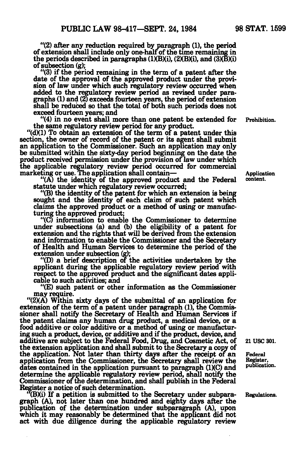**"(2) after any reduction required by paragraph (1), the period of extension shall include only one-half of the time remaining in**  the periods described in paragraphs (1)(B)(i), (2)(B)(i), and (3)(B)(i) **of subsection (g);** 

**"(3) if the period remaining in the term of a patent after the date of the approval of the approved product under the provision of law under which such regulatory review occurred when added to the regulatory review period as revised under paragraphs (1) and (2) exceeds fourteen years, the period of extension shall be reduced so that the total of both such periods does not exceed fourteen years; and** 

**"(4) in no event shall more than one patent be extended for the same regulatory review period for any product.** 

"(d)(1) To obtain an extension of the term of a patent under this **section, the owner of record of the patent or its agent shall submit an application to the Commissioner. Such an application may only be submitted within the sixty-day period beginning on the date the product received permission under the provision of law under which the applicable regulatory review period occurred for commercial marketing or use. The application shall contain—** 

**"(A) the identity of the approved product and the Federal statute under which regulatory review occurred;** 

**"(B) the identity of the patent for which an extension is being sought and the identity of each claim of such patent which claims the approved product or a method of using or manufacturing the approved product;** 

**"(C) information to enable the Commissioner to determine under subsections (a) and (b) the eligibility of a patent for extension and the rights that will be derived from the extension and information to enable the Commissioner and the Secretary of Health and Human Services to determine the period of the extension under subsection (g);** 

**"(D) a brief description of the activities undertaken by the applicant during the applicable regulatory review period with respect to the approved product and the significant dates applicable to such activities; and** 

**"(E) such patent or other information as the Commissioner may require.** 

**"(2XA) Within sixty days of the submittal of an application for extension of the term of a patent under paragraph (1), the Commissioner shall notify the Secretary of Health and Human Services if the patent claims any human drug product, a medical device, or a food additive or color additive or a method of using or manufacturing such a product, device, or additive and if the product, device, and additive are subject to the Federal Food, Drug, and Cosmetic Act, of the extension application and shall submit to the Secretary a copy of the application. Not later than thirty days after the receipt of an application from the Commissioner, the Secretary shall review the**  dates contained in the application pursuant to paragraph (1)(C) and **determine the applicable regulatory review period, shall notify the Commissioner of the determination, and shall publish in the Federal Register a notice of such determination.** 

**(BXi) If a petition is submitted to the Secretary under subparagraph (A), not later than one hundred and eighty days after the publication of the determination under subparagraph (A), upon which it may reasonably be determined that the applicant did not act with due diligence during the applicable regulatory review** 

**Application content.** 

**21 USC 301.** 

**Federal Register, publication.** 

**Regulations.** 

**Prohibition.**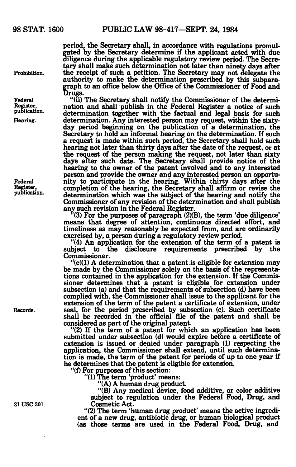**Prohibition.** 

**Federal Register, publication.** 

**Hearing.** 

**Federal Register, publication.** 

**Records.** 

**period, the Secretary shall, in accordance with regulations promulgated by the Secretary determine if the applicant acted with due diligence during the applicable regulatory review period. The Secretary shall make such determination not later than ninety days after the receipt of such a petition. The Secretary may not delegate the authority to make the determination prescribed by this subparagraph to an office below the Office of the Commissioner of Food and Drugs.** 

**"(ii) The Secretary shall notify the Commissioner of the determination and shall publish in the Federal Register a notice of such determination together with the factual and legal basis for such determination. Any interested person may request, within the sixtyday period beginning on the publication of a determination, the Secretary to hold an informal hearing on the determination. If such a request is made within such period, the Secretary shall hold such hearing not later than thirty days after the date of the request, or at the request of the person making the request, not later than sixty days after such date. The Secretary shall provide notice of the hearing to the owner of the patent involved and to any interested person and provide the owner and any interested person an opportunity to participate in the hearing. Within thirty days after the completion of the hearing, the Secretary shall affirm or revise the determination which was the subject of the hearing and notify the Commissioner of any revision of the determination and shall publish any such revision in the Federal Register.** 

**(3) For the purposes of paragraph (2KB), the term 'due diligence' means that degree of attention, continuous directed effort, and timeliness as may reasonably be expected from, and are ordinarily exercised by, a person during a regulatory review period.** 

**"(4) An application for the extension of the term of a patent is subject to the disclosure requirements prescribed by the Commissioner.** 

 $\mathbf{F}(\mathbf{e})$  A determination that a patent is eligible for extension may **be made by the Commissioner solely on the basis of the representations contained in the application for the extension. If the Commissioner determines that a patent is eligible for extension under subsection (a) and that the requirements of subsection (d) have been complied with, the Commissioner shall issue to the applicant for the extension of the term of the patent a certificate of extension, under seal, for the period prescribed by subsection (c). Such certificate shall be recorded in the official file of the patent and shall be considered as part of the original patent.** 

**"(2) If the term of a patent for which an application has been submitted under subsection (d) would expire before a certificate of extension is issued or denied under paragraph (1) respecting the application, the Commissioner shall extend, until such determination is made, the term of the patent for periods of up to one year if he determines that the patent is eligible for extension.** 

**"(f) For purposes of this section:** 

**"(1) The term 'product' means:** 

**"(A) A human drug product.** 

**"(B) Any medical device, food additive, or color additive subject to regulation under the Federal Food, Drug, and Cosmetic Act.** 

**"(2) The term 'human drug product' means the active ingredient of a new drug, antibiotic drug, or human biological product (as those terms are used in the Federal Food, Drug, and** 

**21 USC 301.**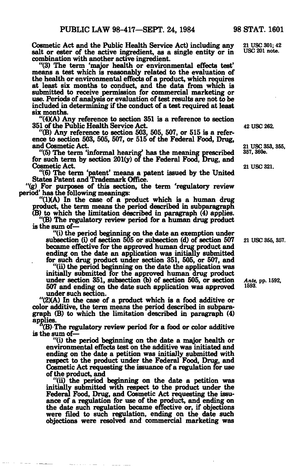**Cosmetic Act and the Public Health Service Act) including any 21 USC 301; 42 salt or ester of the active ingredient, as a single entity or in combination with another active ingredient.** 

**"(3) The term 'major health or environmental effects test' means a test which is reasonably related to the evaluation of the health or environmental effects of a product, which requires at least six months to conduct, and the data from which is submitted to receive permission for commercial marketing or use. Periods of analysis or evaluation of test results are not to be included in determining if the conduct of a test required at least six months.** 

**"(4XA) Any reference to section 351 is a reference to section 351 of the Public Health Service Act. 42 USC 262.** 

**"(B) Any reference to section 503, 505, 507, or 515 is a reference to section 503, 505, 507, or 515 of the Federal Food, Drug, and Cosmetic Act. 21 USC 353,355,** 

**"(5) The term 'informal hearing' has the meaning prescribed 357,360e. for such term by section 201(y) of the Federal Food, Drug, and Cosmetic Act.** 21 USC 321.

**"(6) The term 'patent' means a patent issued by the United States Patent and Trademark Office.** 

**"(g) For purposes of this section, the term 'regulatory review period' has the following meanings:** 

**"(1XA) In the case of a product which is a human drug product, the term means the period described in subparagraph (B) to which the limitation described in paragraph (4) applies.** 

**"(B) The regulatory review period for a human drug product is the sum of—** 

**"(i) the period beginning on the date an exemption under subsection (i) of section 505 or subsection (d) of section 507 21 USC 355,357. became effective for the approved human drug product and ending on the date an application was initially submitted for such drug product under section 351, 505, or 507, and** 

**"(ii) the period beginning on the date the application was initially submitted for the approved human drug product**  under section 351, subsection (b) of section 505, or section Ante, pp. 1592, **507 and ending on the date such application was approved under such section.** 

**"(2XA) In the case of a product which is a food additive or color additive, the term means the period described in subparagraph (B) to which the limitation described in paragraph (4) applies.** 

**(B) The regulatory review period for a food or color additive is the sum of—** 

**"(i) the period beginning on the date a major health or environmental effects test on the additive was initiated and ending on the date a petition was initially submitted with respect to the product under the Federal Food, Drug, and Cosmetic Act requesting the issuance of a regulation for use of the product, and** 

**"(ii) the period beginning on the date a petition was initially submitted with respect to the product under the Federal Food, Drug, and Cosmetic Act requesting the issuance of a regulation for use of the product, and ending on the date such regulation became effective or, if objections were filed to such regulation, ending on the date such objections were resolved and commercial marketing was** 

**usc 201 note** 

 **1593 -**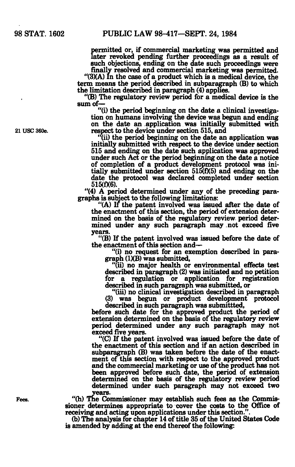**permitted or, if commercial marketing was permitted and later revoked pending further proceedings as a result of such objections, ending on the date such proceedings were finally resolved and commercial marketing was permitted.** 

**"(3)(A) In the case of a product which is a medical device, the term means the period described in subparagraph (B) to which the limitation described in paragraph (4) applies.** 

**"(B) The regulatory review period for a medical device is the sum of—** 

**"(i) the period beginning on the date a clinical investigation on humans involving the device was begun and ending on the date an application was initially submitted with 21 use 360e. respect to the device under section 515, and** 

**(ii) the period beginning on the date an application was initially submitted with respect to the device under section 515 and ending on the date such application was approved under such Act or the period beginning on the date a notice of completion of a product development protocol was ini**tially submitted under section 515(f)(5) and ending on the **date the protocol was declared completed under section 515(fX6).** 

**"(4) A period determined under any of the preceding paragraphs is subject to the following limitations:** 

**"(A) If the patent involved was issued after the date of the enactment of this section, the period of extension determined on the basis of the regulatory review period determined under any such paragraph may not exceed five years.** 

**"(B) If the patent involved was issued before the date of the enactment of this section and—** 

**"(i) no request for an exemption described in paragraph (1KB) was submitted,** 

**"(ii) no major health or environmental effects test described in paragraph (2) was initiated and no petition for a regulation or application for registration described in such paragraph was submitted, or** 

**"(iii) no clinical investigation described in paragraph (3) was begun or product development protocol described in such paragraph was submittted,** 

**before such date for the approved product the period of extension determined on the basis of the regulatory review period determined under any such paragraph may not exceed five years.** 

**"(C) If the patent involved was issued before the date of the enactment of this section and if an action described in subparagraph (B) was taken before the date of the enactment of this section with respect to the approved product and the commercial marketing or use of the product has not been approved before such date, the period of extension determined on the basis of the regulatory review period determined under such paragraph may not exceed two years.** 

**Fees. "(h) The Commissioner may establish such fees as the Commissioner determines appropriate to cover the costs to the Office of receiving and acting upon applications under this section.".** 

**(b) The analysis for chapter 14 of title 35 of the United States Code is amended by adding at the end thereof the following:**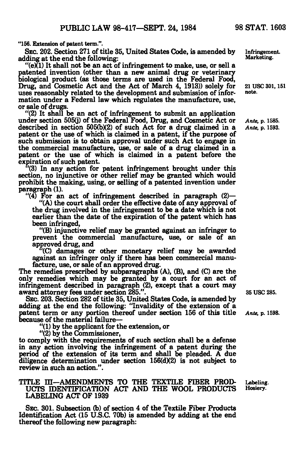**"156. Extension of patent term.".** 

**SEC. 202. Section 271 of title 35, United States Code, is amended by adding at the end the following:** 

**"(eXD It shall not be an act of infringement to make, use, or sell a patented invention (other than a new animal drug or veterinary biological product (as those terms are used in the Federal Food, Drug, and Cosmetic Act and the Act of March 4, 1913)) solely for uses reasonably related to the development and submission of information under a Federal law which regulates the manufacture, use, or sale of drugs.** 

**"(2) It shall be an act of infringement to submit an application under section 505(j) of the Federal Food, Drug, and Cosmetic Act or**  described in section 505(b)(2) of such Act for a drug claimed in a **patent or the use of which is claimed in a patent, if the purpose of such submission is to obtain approval under such Act to engage in the commercial manufacture, use, or sale of a drug claimed in a patent or the use of which is claimed in a patent before the expiration of such patent.** 

**"(3) In any action for patent infringement brought under this section, no injunctive or other relief may be granted which would prohibit the making, using, or selling of a patented invention under paragraph (1).** 

**"(4) For an act of infringement described in paragraph (2)— "(A) the court shall order the effective date of any approval of the drug involved in the infringement to be a date which is not earlier than the date of the expiration of the patent which has been infringed,** 

**"(B) injunctive relief may be granted against an infringer to prevent the commercial manufacture, use, or sale of an approved drug, and** 

**"(C) damages or other monetary relief may be awarded against an infringer only if there has been commercial manufacture, use, or sale of an approved drug.** 

**The remedies prescribed by subparagraphs (A), (B), and (C) are the only remedies which may be granted by a court for an act of infringement described in paragraph (2), except that a court may award attorney fees under section 285.".** 

**SEC. 203. Section 282 of title 35, United States Code, is amended by adding at the end the following: "Invalidity of the extension of a patent term or any portion thereof under section 156 of this title because of the material failure—** 

**"(1) by the applicant for the extension, or** 

**"(2) by the Commissioner,** 

**to comply with the requirements of such section shall be a defense in any action involving the infringement of a patent during the period of the extension of its term and shall be pleaded. A due**  diligence determination under section 156(d)(2) is not subject to **review in such an action.".** 

## **TITLE m—AMENDMENTS TO THE TEXTILE FIBER PROD-UCTS IDENTIFICATION ACT AND THE WOOL PRODUCTS LABELING ACT OF 1939**

**SEC. 301. Subsection (b) of section 4 of the Textile Fiber Products Identification Act (15 U.S.C. 70b) is amended by adding at the end thereof the following new paragraph:** 

Infringement. **Marketing.** 

**21 USC 301,151 note.** 

*Ante,* **p. 1585.**  *Ante,* **p. 1593.** 

**35 USC 285.** 

*Ante,* **p. 1598.** 

**Labeling. Hosiery.**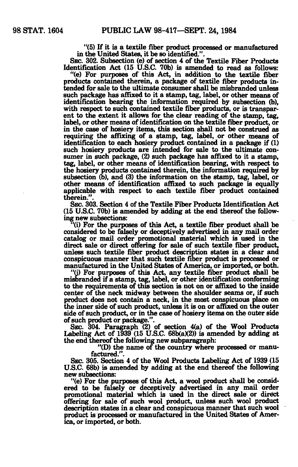**"(5) If it is a textile fiber product processed or manufactured in the United States, it be so identified.".** 

**SEC. 302. Subsection (e) of section 4 of the Textile Fiber Products Identification Act (15 U.S.C. 70b) is amended to read as follows:** 

**"(e) For purposes of this Act, in addition to the textile fiber products contained therein, a package of textile fiber products intended for sale to the ultimate consumer shall be misbranded unless such package has affixed to it a stamp, tag, label, or other means of identification bearing the information required by subsection (b), with respect to such contained textile fiber products, or is transparent to the extent it allows for the clear reading of the stamp, tag, label, or other means of identification on the textile fiber product, or in the case of hosiery items, this section shall not be construed as requiring the affixing of a stamp, tag, label, or other means of identification to each hosiery product contained in a package if (1) such hosiery products are intended for sale to the ultimate consumer in such package, (2) such package has affixed to it a stamp, tag, label, or other means of identification bearing, with respect to the hosiery products contained therein, the information required by subsection (b), and (3) the information on the stamp, tag, label, or other means of identification affixed to such package is equally applicable with respect to each textile fiber product contained therein.".** 

**SEC. 303. Section 4 of the Textile Fiber Products Identification Act (15 U.S.C. 70b) is amended by adding at the end thereof the following new subsections:** 

**"(i) For the purposes of this Act, a textile fiber product shall be considered to be falsely or deceptively advertised in any mail order catalog or mail order promotional material which is used in the direct sale or direct offering for sale of such textile fiber product, unless such textile fiber product description states in a clear and conspicuous manner that such textile fiber product is processed or manufactured in the United States of America, or imported, or both.** 

**"(j) For purposes of this Act, any textile fiber product shall be misbranded if a stamp, tag, label, or other identification conforming to the requirements of this section is not on or affixed to the inside center of the neck midway between the shoulder seams or, if such product does not contain a neck, in the most conspicuous place on the inner side of such product, unless it is on or affixed on the outer side of such product, or in the case of hosiery items on the outer side of such product or package.".** 

**SEC. 304. Paragraph (2) of section 4(a) of the Wool Products**  Labeling Act of 1939 (15 U.S.C. 68b(a)(2)) is amended by adding at **the end thereof the following new subparagraph:** 

**"(D) the name of the country where processed or manufactured.".** 

**SEC. 305. Section 4 of the Wool Products Labeling Act of 1939 (15 U.S.C. 68b) is amended by adding at the end thereof the following new subsections:** 

**"(e) For the purposes of this Act, a wool product shall be considered to be falsely or deceptively advertised in any mail order promotional material which is used in the direct sale or direct offering for sale of such wool product, unless such wool product description states in a clear and conspicuous manner that such wool product is processed or manufactured in the United States of America, or imported, or both.**